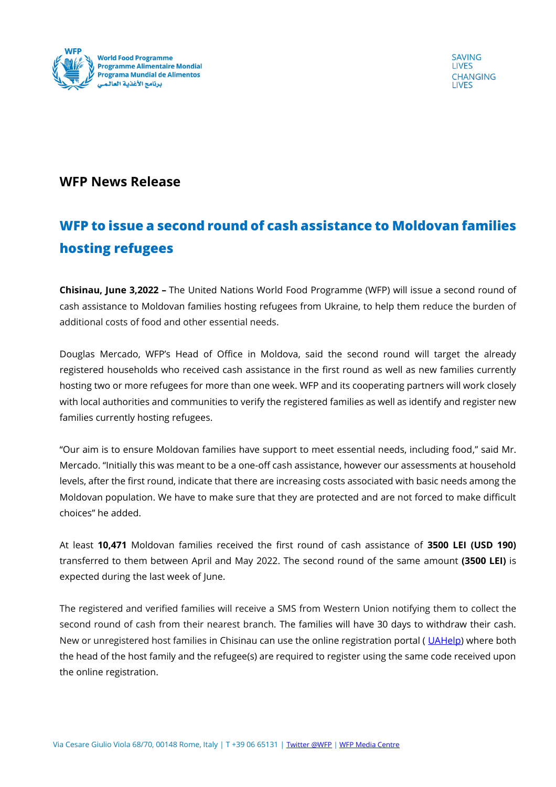

**SAVING LIVES CHANGING I IVES** 

## **WFP News Release**

## **WFP to issue a second round of cash assistance to Moldovan families hosting refugees**

**Chisinau, June 3,2022 –** The United Nations World Food Programme (WFP) will issue a second round of cash assistance to Moldovan families hosting refugees from Ukraine, to help them reduce the burden of additional costs of food and other essential needs.

Douglas Mercado, WFP's Head of Office in Moldova, said the second round will target the already registered households who received cash assistance in the first round as well as new families currently hosting two or more refugees for more than one week. WFP and its cooperating partners will work closely with local authorities and communities to verify the registered families as well as identify and register new families currently hosting refugees.

"Our aim is to ensure Moldovan families have support to meet essential needs, including food," said Mr. Mercado. "Initially this was meant to be a one-off cash assistance, however our assessments at household levels, after the first round, indicate that there are increasing costs associated with basic needs among the Moldovan population. We have to make sure that they are protected and are not forced to make difficult choices" he added.

At least **10,471** Moldovan families received the first round of cash assistance of **3500 LEI (USD 190)**  transferred to them between April and May 2022. The second round of the same amount **(3500 LEI)** is expected during the last week of June.

The registered and verified families will receive a SMS from Western Union notifying them to collect the second round of cash from their nearest branch. The families will have 30 days to withdraw their cash. New or unregistered host families in Chisinau can use the online registration portal (UAHelp) where both the head of the host family and the refugee(s) are required to register using the same code received upon the online registration.